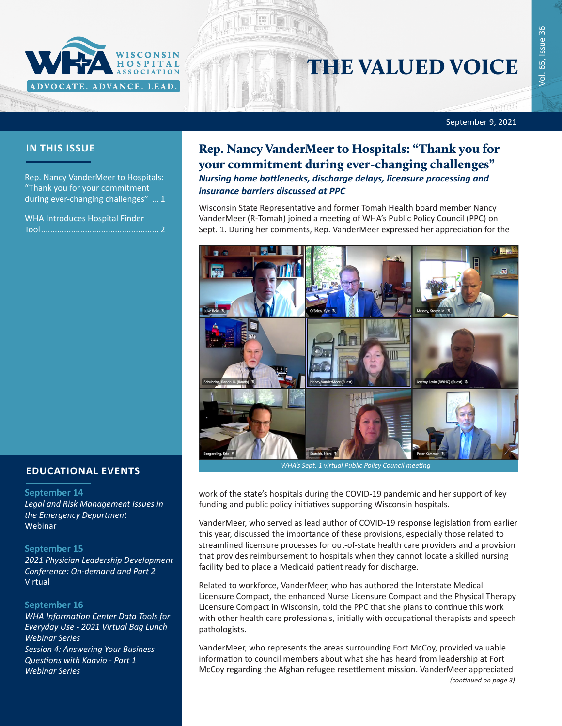

# THE VALUED VOICE

September 9, 2021

## **IN THIS ISSUE**

Rep. Nancy VanderMeer to Hospitals: "Thank you for your commitment during ever-changing challenges" ... 1

[WHA Introduces Hospital Finder](#page-1-0)  [Tool...................................................](#page-1-0) 2

## **EDUCATIONAL EVENTS**

#### **September 14**

*[Legal and Risk Management Issues in](https://gha.zoom.us/webinar/register/WN_LAtbCy_wQyu-2AINfP4zrw)  [the Emergency Department](https://gha.zoom.us/webinar/register/WN_LAtbCy_wQyu-2AINfP4zrw)* Webinar

#### **September 15**

*[2021 Physician Leadership Development](https://www.wha.org/PLDC-2021)  [Conference](https://www.wha.org/PLDC-2021): On-demand and Part 2* Virtual

#### **September 16**

*[WHA Information Center Data Tools for](https://www.wha.org/AboutWHA/CalendarofEvents/Webinar-Online-Education/WHAIC-Session-4)  [Everyday Use - 2021 Virtual Bag Lunch](https://www.wha.org/AboutWHA/CalendarofEvents/Webinar-Online-Education/WHAIC-Session-4)  [Webinar Series](https://www.wha.org/AboutWHA/CalendarofEvents/Webinar-Online-Education/WHAIC-Session-4) [Session 4: Answering Your Business](https://www.wha.org/AboutWHA/CalendarofEvents/Webinar-Online-Education/WHAIC-Session-4)  [Questions with Kaavio - Part 1](https://www.wha.org/AboutWHA/CalendarofEvents/Webinar-Online-Education/WHAIC-Session-4) Webinar Series*

# Rep. Nancy VanderMeer to Hospitals: "Thank you for your commitment during ever-changing challenges" *Nursing home bottlenecks, discharge delays, licensure processing and insurance barriers discussed at PPC*

Wisconsin State Representative and former Tomah Health board member Nancy VanderMeer (R-Tomah) joined a meeting of WHA's Public Policy Council (PPC) on Sept. 1. During her comments, Rep. VanderMeer expressed her appreciation for the



*WHA's Sept. 1 virtual Public Policy Council meeting*

work of the state's hospitals during the COVID-19 pandemic and her support of key funding and public policy initiatives supporting Wisconsin hospitals.

VanderMeer, who served as lead author of COVID-19 response legislation from earlier this year, discussed the importance of these provisions, especially those related to streamlined licensure processes for out-of-state health care providers and a provision that provides reimbursement to hospitals when they cannot locate a skilled nursing facility bed to place a Medicaid patient ready for discharge.

Related to workforce, VanderMeer, who has authored the Interstate Medical Licensure Compact, the enhanced Nurse Licensure Compact and the Physical Therapy Licensure Compact in Wisconsin, told the PPC that she plans to continue this work with other health care professionals, initially with occupational therapists and speech pathologists.

VanderMeer, who represents the areas surrounding Fort McCoy, provided valuable information to council members about what she has heard from leadership at Fort McCoy regarding the Afghan refugee resettlement mission. VanderMeer appreciated *(continued on page 3)*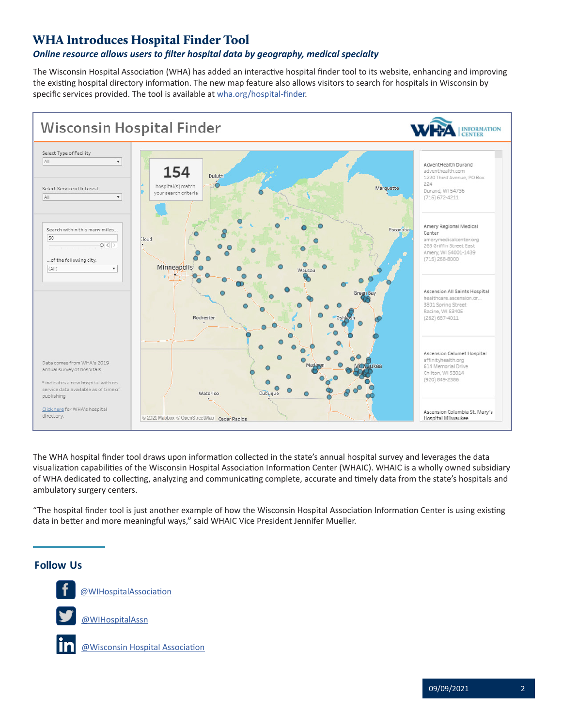# <span id="page-1-0"></span>WHA Introduces Hospital Finder Tool

### *Online resource allows users to filter hospital data by geography, medical specialty*

The Wisconsin Hospital Association (WHA) has added an interactive hospital finder tool to its website, enhancing and improving the existing hospital directory information. The new map feature also allows visitors to search for hospitals in Wisconsin by specific services provided. The tool is available at [wha.org/hospital-finder](https://www.wha.org/hospital-finder).



The WHA hospital finder tool draws upon information collected in the state's annual hospital survey and leverages the data visualization capabilities of the Wisconsin Hospital Association Information Center (WHAIC). WHAIC is a wholly owned subsidiary of WHA dedicated to collecting, analyzing and communicating complete, accurate and timely data from the state's hospitals and ambulatory surgery centers.

"The hospital finder tool is just another example of how the Wisconsin Hospital Association Information Center is using existing data in better and more meaningful ways," said WHAIC Vice President Jennifer Mueller.

## **Follow Us Follow Us**

**Follow U[s](https://twitter.com/WIHospitalAssn)**



**FO** [@WIHospitalAssociation](https://www.facebook.com/WIHospitalAssociation/)

[@WIHospitalAssn](https://twitter.com/WIHospitalAssn)



[@Wisconsin Hospital Association](https://www.linkedin.com/company/4566526/admin/)